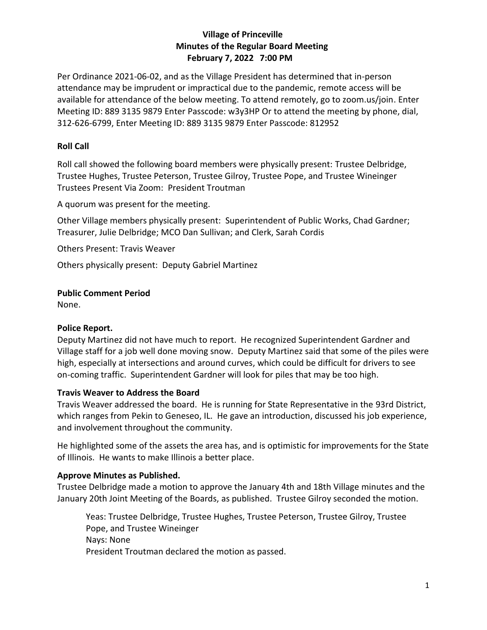# **Village of Princeville Minutes of the Regular Board Meeting February 7, 2022 7:00 PM**

Per Ordinance 2021-06-02, and as the Village President has determined that in-person attendance may be imprudent or impractical due to the pandemic, remote access will be available for attendance of the below meeting. To attend remotely, go to zoom.us/join. Enter Meeting ID: 889 3135 9879 Enter Passcode: w3y3HP Or to attend the meeting by phone, dial, 312-626-6799, Enter Meeting ID: 889 3135 9879 Enter Passcode: 812952

# **Roll Call**

Roll call showed the following board members were physically present: Trustee Delbridge, Trustee Hughes, Trustee Peterson, Trustee Gilroy, Trustee Pope, and Trustee Wineinger Trustees Present Via Zoom: President Troutman

A quorum was present for the meeting.

Other Village members physically present: Superintendent of Public Works, Chad Gardner; Treasurer, Julie Delbridge; MCO Dan Sullivan; and Clerk, Sarah Cordis

Others Present: Travis Weaver

Others physically present: Deputy Gabriel Martinez

### **Public Comment Period**

None.

## **Police Report.**

Deputy Martinez did not have much to report. He recognized Superintendent Gardner and Village staff for a job well done moving snow. Deputy Martinez said that some of the piles were high, especially at intersections and around curves, which could be difficult for drivers to see on-coming traffic. Superintendent Gardner will look for piles that may be too high.

#### **Travis Weaver to Address the Board**

Travis Weaver addressed the board. He is running for State Representative in the 93rd District, which ranges from Pekin to Geneseo, IL. He gave an introduction, discussed his job experience, and involvement throughout the community.

He highlighted some of the assets the area has, and is optimistic for improvements for the State of Illinois. He wants to make Illinois a better place.

#### **Approve Minutes as Published.**

Trustee Delbridge made a motion to approve the January 4th and 18th Village minutes and the January 20th Joint Meeting of the Boards, as published. Trustee Gilroy seconded the motion.

Yeas: Trustee Delbridge, Trustee Hughes, Trustee Peterson, Trustee Gilroy, Trustee Pope, and Trustee Wineinger Nays: None President Troutman declared the motion as passed.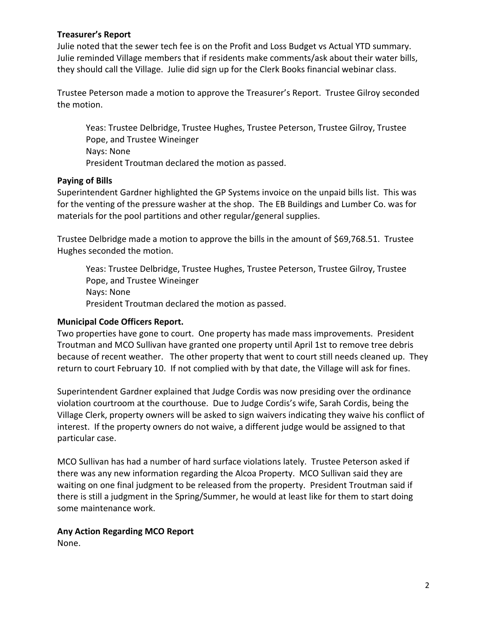### **Treasurer's Report**

Julie noted that the sewer tech fee is on the Profit and Loss Budget vs Actual YTD summary. Julie reminded Village members that if residents make comments/ask about their water bills, they should call the Village. Julie did sign up for the Clerk Books financial webinar class.

Trustee Peterson made a motion to approve the Treasurer's Report. Trustee Gilroy seconded the motion.

Yeas: Trustee Delbridge, Trustee Hughes, Trustee Peterson, Trustee Gilroy, Trustee Pope, and Trustee Wineinger Nays: None President Troutman declared the motion as passed.

### **Paying of Bills**

Superintendent Gardner highlighted the GP Systems invoice on the unpaid bills list. This was for the venting of the pressure washer at the shop. The EB Buildings and Lumber Co. was for materials for the pool partitions and other regular/general supplies.

Trustee Delbridge made a motion to approve the bills in the amount of \$69,768.51. Trustee Hughes seconded the motion.

Yeas: Trustee Delbridge, Trustee Hughes, Trustee Peterson, Trustee Gilroy, Trustee Pope, and Trustee Wineinger Nays: None President Troutman declared the motion as passed.

## **Municipal Code Officers Report.**

Two properties have gone to court. One property has made mass improvements. President Troutman and MCO Sullivan have granted one property until April 1st to remove tree debris because of recent weather. The other property that went to court still needs cleaned up. They return to court February 10. If not complied with by that date, the Village will ask for fines.

Superintendent Gardner explained that Judge Cordis was now presiding over the ordinance violation courtroom at the courthouse. Due to Judge Cordis's wife, Sarah Cordis, being the Village Clerk, property owners will be asked to sign waivers indicating they waive his conflict of interest. If the property owners do not waive, a different judge would be assigned to that particular case.

MCO Sullivan has had a number of hard surface violations lately. Trustee Peterson asked if there was any new information regarding the Alcoa Property. MCO Sullivan said they are waiting on one final judgment to be released from the property. President Troutman said if there is still a judgment in the Spring/Summer, he would at least like for them to start doing some maintenance work.

#### **Any Action Regarding MCO Report**

None.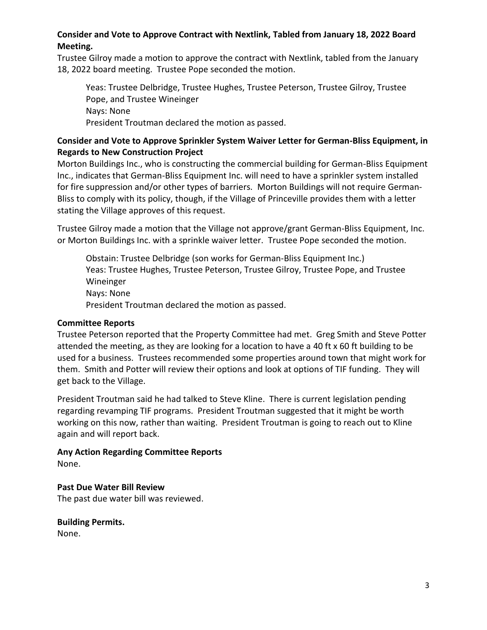# **Consider and Vote to Approve Contract with Nextlink, Tabled from January 18, 2022 Board Meeting.**

Trustee Gilroy made a motion to approve the contract with Nextlink, tabled from the January 18, 2022 board meeting. Trustee Pope seconded the motion.

Yeas: Trustee Delbridge, Trustee Hughes, Trustee Peterson, Trustee Gilroy, Trustee Pope, and Trustee Wineinger Nays: None President Troutman declared the motion as passed.

## **Consider and Vote to Approve Sprinkler System Waiver Letter for German-Bliss Equipment, in Regards to New Construction Project**

Morton Buildings Inc., who is constructing the commercial building for German-Bliss Equipment Inc., indicates that German-Bliss Equipment Inc. will need to have a sprinkler system installed for fire suppression and/or other types of barriers. Morton Buildings will not require German-Bliss to comply with its policy, though, if the Village of Princeville provides them with a letter stating the Village approves of this request.

Trustee Gilroy made a motion that the Village not approve/grant German-Bliss Equipment, Inc. or Morton Buildings Inc. with a sprinkle waiver letter. Trustee Pope seconded the motion.

Obstain: Trustee Delbridge (son works for German-Bliss Equipment Inc.) Yeas: Trustee Hughes, Trustee Peterson, Trustee Gilroy, Trustee Pope, and Trustee Wineinger Nays: None President Troutman declared the motion as passed.

## **Committee Reports**

Trustee Peterson reported that the Property Committee had met. Greg Smith and Steve Potter attended the meeting, as they are looking for a location to have a 40 ft x 60 ft building to be used for a business. Trustees recommended some properties around town that might work for them. Smith and Potter will review their options and look at options of TIF funding. They will get back to the Village.

President Troutman said he had talked to Steve Kline. There is current legislation pending regarding revamping TIF programs. President Troutman suggested that it might be worth working on this now, rather than waiting. President Troutman is going to reach out to Kline again and will report back.

**Any Action Regarding Committee Reports** None.

## **Past Due Water Bill Review**

The past due water bill was reviewed.

**Building Permits.** 

None.